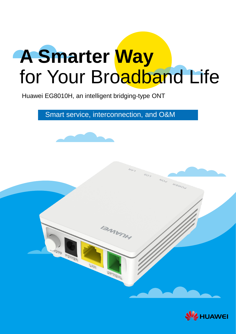# **A Smarter Way** for Your Broadband Life

Huawei EG8010H, an intelligent bridging-type ONT

Smart service, interconnection, and O&M